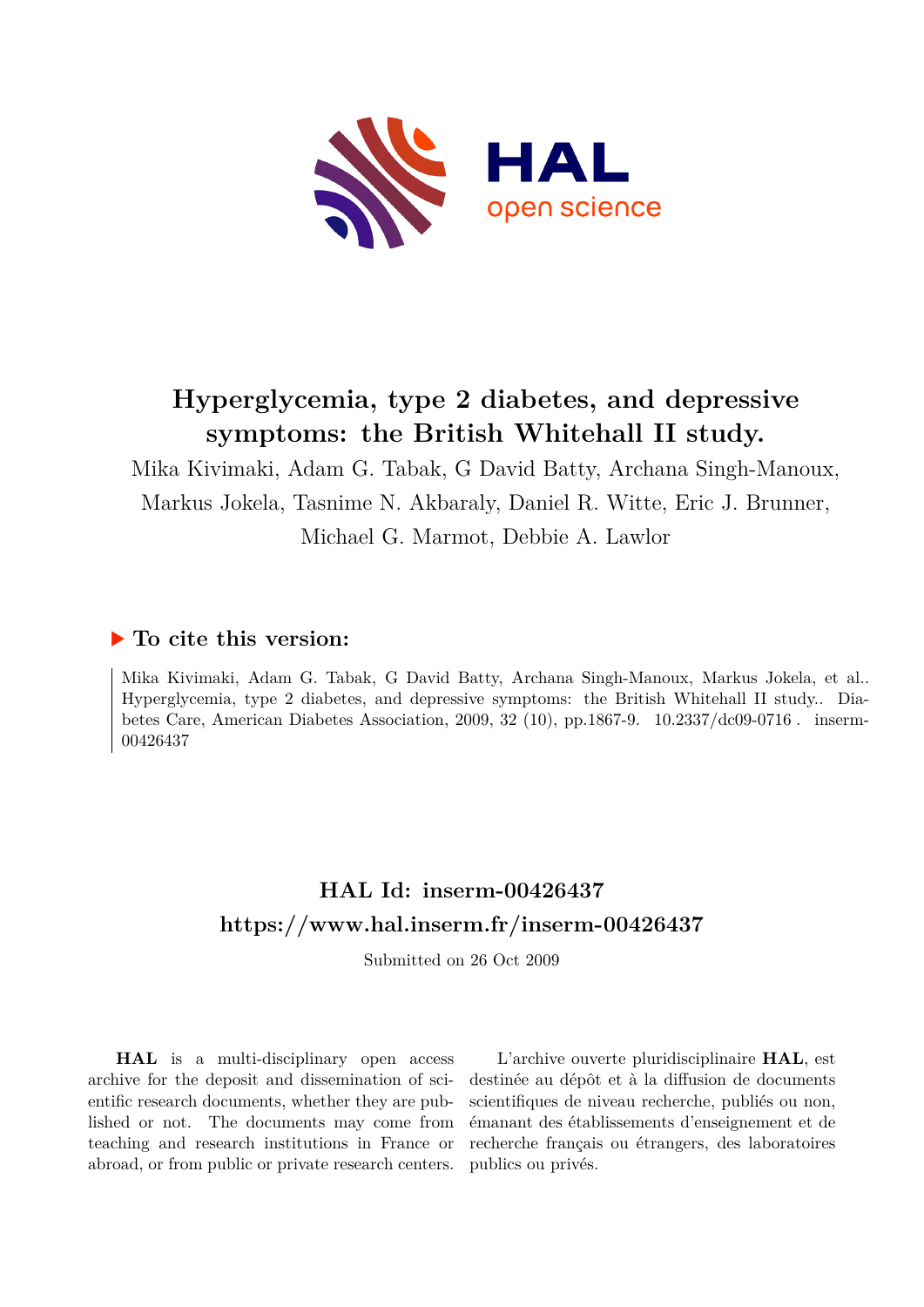

# **Hyperglycemia, type 2 diabetes, and depressive symptoms: the British Whitehall II study.**

Mika Kivimaki, Adam G. Tabak, G David Batty, Archana Singh-Manoux, Markus Jokela, Tasnime N. Akbaraly, Daniel R. Witte, Eric J. Brunner, Michael G. Marmot, Debbie A. Lawlor

## **To cite this version:**

Mika Kivimaki, Adam G. Tabak, G David Batty, Archana Singh-Manoux, Markus Jokela, et al.. Hyperglycemia, type 2 diabetes, and depressive symptoms: the British Whitehall II study.. Diabetes Care, American Diabetes Association, 2009, 32 (10), pp.1867-9.  $10.2337/\text{dc09-0716}$ . inserm-00426437

## **HAL Id: inserm-00426437 <https://www.hal.inserm.fr/inserm-00426437>**

Submitted on 26 Oct 2009

**HAL** is a multi-disciplinary open access archive for the deposit and dissemination of scientific research documents, whether they are published or not. The documents may come from teaching and research institutions in France or abroad, or from public or private research centers.

L'archive ouverte pluridisciplinaire **HAL**, est destinée au dépôt et à la diffusion de documents scientifiques de niveau recherche, publiés ou non, émanant des établissements d'enseignement et de recherche français ou étrangers, des laboratoires publics ou privés.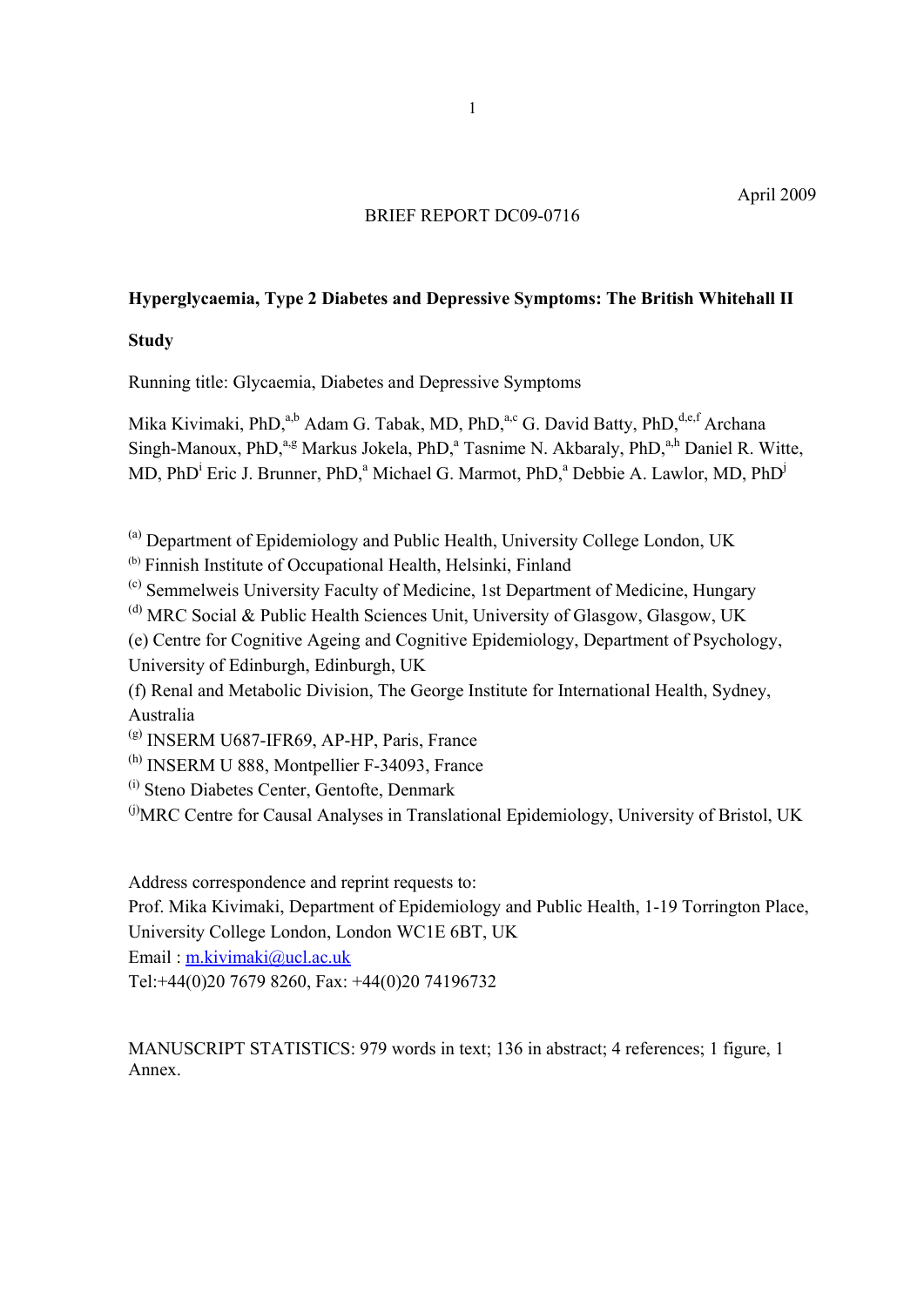#### BRIEF REPORT DC09-0716

## **Hyperglycaemia, Type 2 Diabetes and Depressive Symptoms: The British Whitehall II**

## **Study**

Running title: Glycaemia, Diabetes and Depressive Symptoms

Mika Kivimaki, PhD,<sup>a,b</sup> Adam G. Tabak, MD, PhD,<sup>a,c</sup> G. David Batty, PhD,<sup>d,e,f</sup> Archana Singh-Manoux, PhD,<sup>a,g</sup> Markus Jokela, PhD,<sup>a</sup> Tasnime N. Akbaraly, PhD,<sup>a,h</sup> Daniel R. Witte, MD, PhD<sup>i</sup> Eric J. Brunner, PhD,<sup>a</sup> Michael G. Marmot, PhD,<sup>a</sup> Debbie A. Lawlor, MD, PhD<sup>j</sup>

(a) Department of Epidemiology and Public Health, University College London, UK

(b) Finnish Institute of Occupational Health, Helsinki, Finland

(c) Semmelweis University Faculty of Medicine, 1st Department of Medicine, Hungary

 $^{(d)}$  MRC Social & Public Health Sciences Unit, University of Glasgow, Glasgow, UK

(e) Centre for Cognitive Ageing and Cognitive Epidemiology, Department of Psychology,

University of Edinburgh, Edinburgh, UK

(f) Renal and Metabolic Division, The George Institute for International Health, Sydney, Australia

 $(9)$  INSERM U687-IFR69, AP-HP, Paris, France

(h) INSERM U 888, Montpellier F-34093, France

(i) Steno Diabetes Center, Gentofte, Denmark

<sup>(j)</sup>MRC Centre for Causal Analyses in Translational Epidemiology, University of Bristol, UK

Address correspondence and reprint requests to:

Prof. Mika Kivimaki, Department of Epidemiology and Public Health, 1-19 Torrington Place, University College London, London WC1E 6BT, UK

Email : m.kivimaki@ucl.ac.uk

Tel:+44(0)20 7679 8260, Fax: +44(0)20 74196732

MANUSCRIPT STATISTICS: 979 words in text; 136 in abstract; 4 references; 1 figure, 1 Annex.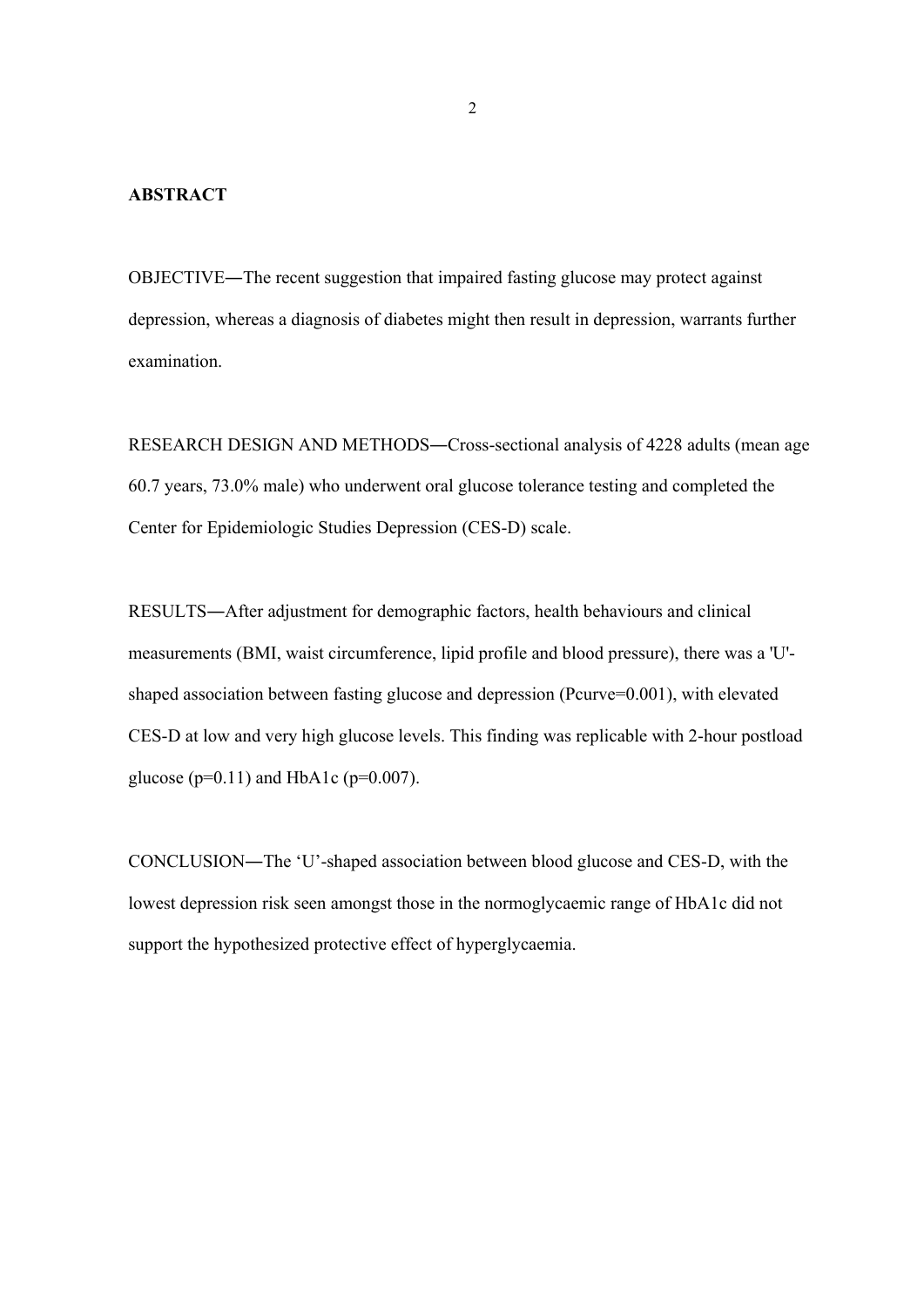## **ABSTRACT**

OBJECTIVE―The recent suggestion that impaired fasting glucose may protect against depression, whereas a diagnosis of diabetes might then result in depression, warrants further examination.

RESEARCH DESIGN AND METHODS―Cross-sectional analysis of 4228 adults (mean age 60.7 years, 73.0% male) who underwent oral glucose tolerance testing and completed the Center for Epidemiologic Studies Depression (CES-D) scale.

RESULTS―After adjustment for demographic factors, health behaviours and clinical measurements (BMI, waist circumference, lipid profile and blood pressure), there was a 'U' shaped association between fasting glucose and depression (Pcurve=0.001), with elevated CES-D at low and very high glucose levels. This finding was replicable with 2-hour postload glucose ( $p=0.11$ ) and HbA1c ( $p=0.007$ ).

CONCLUSION―The 'U'-shaped association between blood glucose and CES-D, with the lowest depression risk seen amongst those in the normoglycaemic range of HbA1c did not support the hypothesized protective effect of hyperglycaemia.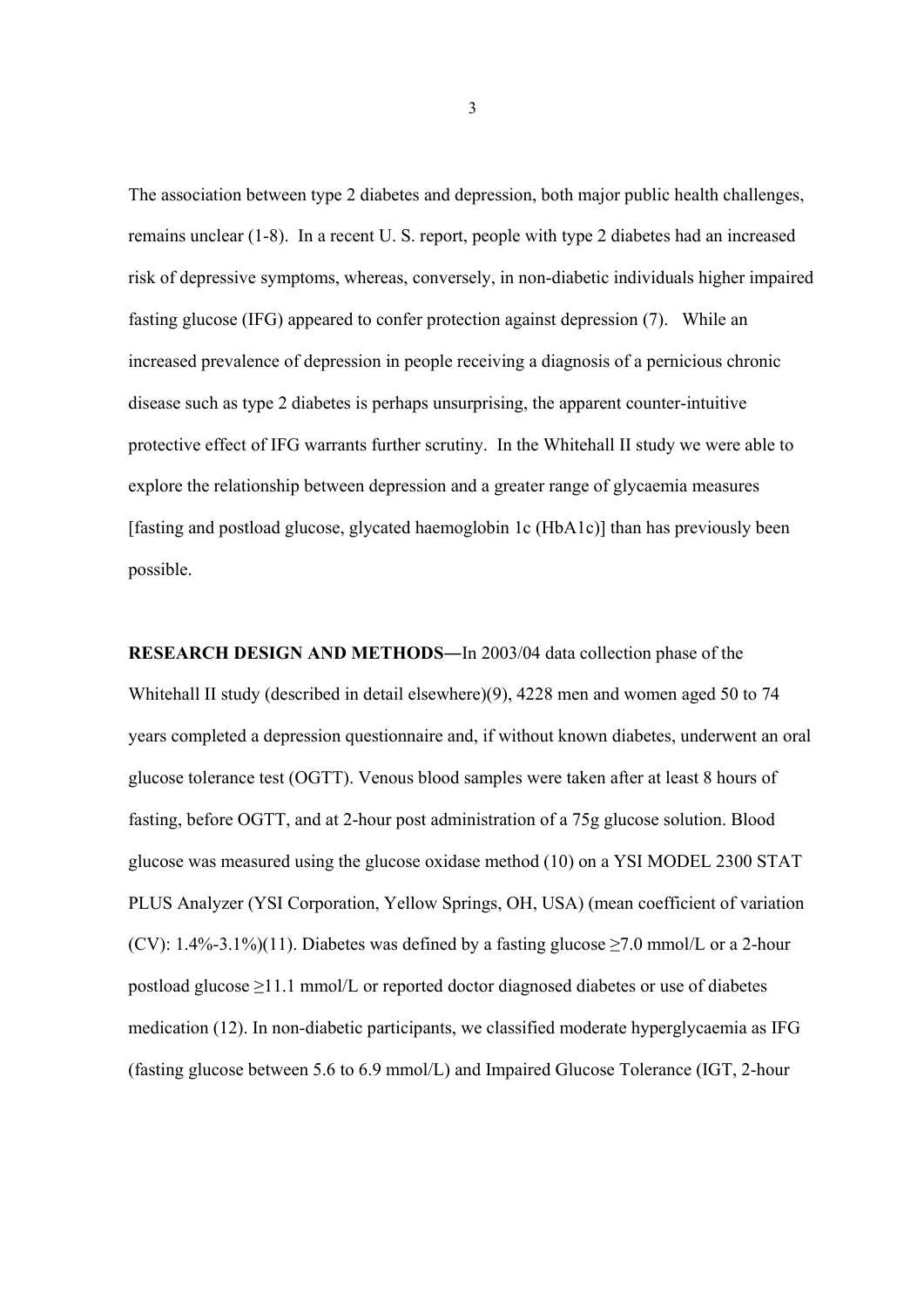The association between type 2 diabetes and depression, both major public health challenges, remains unclear (1-8). In a recent U. S. report, people with type 2 diabetes had an increased risk of depressive symptoms, whereas, conversely, in non-diabetic individuals higher impaired fasting glucose (IFG) appeared to confer protection against depression (7). While an increased prevalence of depression in people receiving a diagnosis of a pernicious chronic disease such as type 2 diabetes is perhaps unsurprising, the apparent counter-intuitive protective effect of IFG warrants further scrutiny. In the Whitehall II study we were able to explore the relationship between depression and a greater range of glycaemia measures [fasting and postload glucose, glycated haemoglobin 1c (HbA1c)] than has previously been possible.

**RESEARCH DESIGN AND METHODS―**In 2003/04 data collection phase of the Whitehall II study (described in detail elsewhere)(9), 4228 men and women aged 50 to 74 years completed a depression questionnaire and, if without known diabetes, underwent an oral glucose tolerance test (OGTT). Venous blood samples were taken after at least 8 hours of fasting, before OGTT, and at 2-hour post administration of a 75g glucose solution. Blood glucose was measured using the glucose oxidase method (10) on a YSI MODEL 2300 STAT PLUS Analyzer (YSI Corporation, Yellow Springs, OH, USA) (mean coefficient of variation (CV):  $1.4\% - 3.1\%$ )(11). Diabetes was defined by a fasting glucose  $\geq 7.0$  mmol/L or a 2-hour postload glucose ≥11.1 mmol/L or reported doctor diagnosed diabetes or use of diabetes medication (12). In non-diabetic participants, we classified moderate hyperglycaemia as IFG (fasting glucose between 5.6 to 6.9 mmol/L) and Impaired Glucose Tolerance (IGT, 2-hour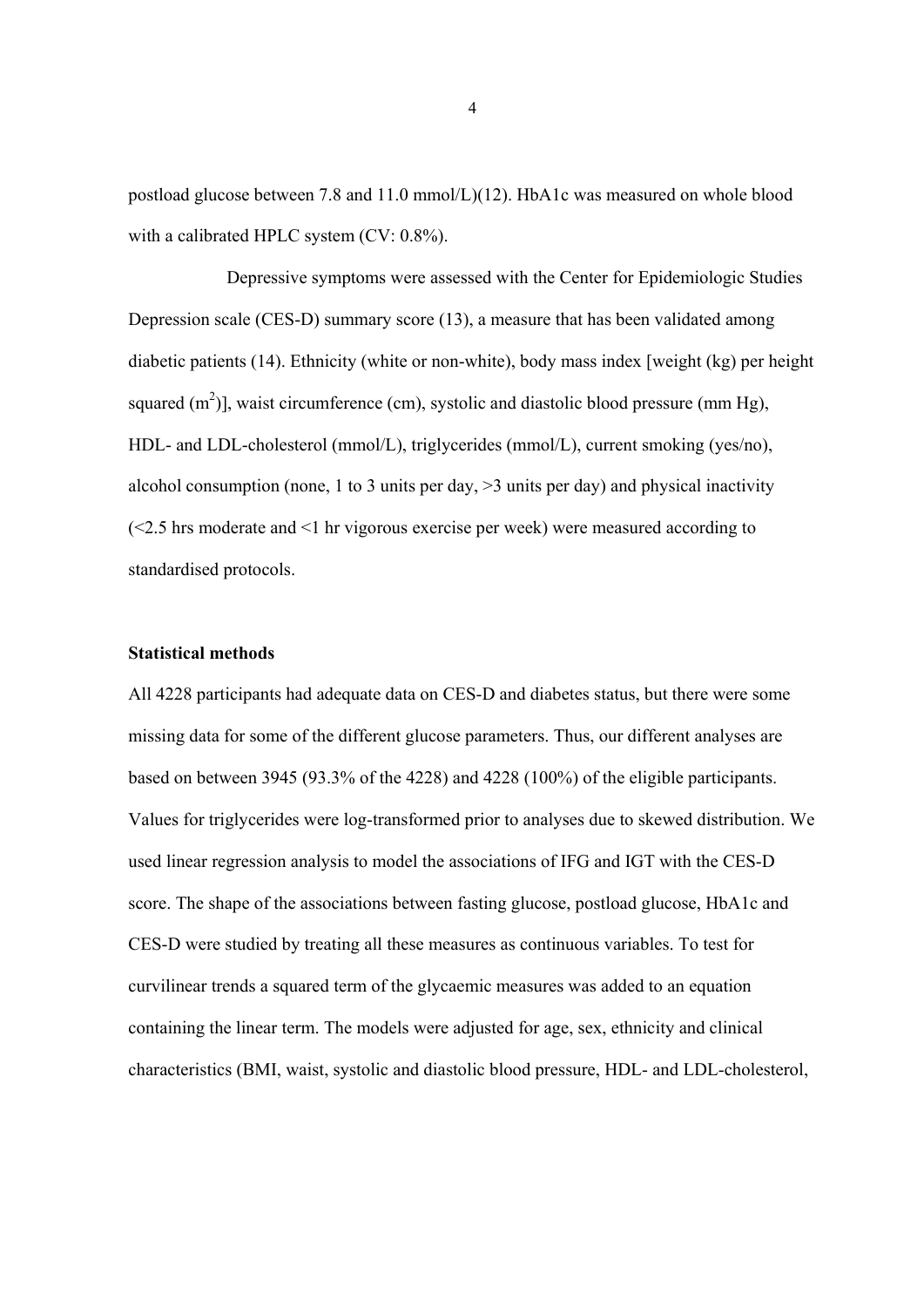postload glucose between 7.8 and 11.0 mmol/L)(12). HbA1c was measured on whole blood with a calibrated HPLC system (CV: 0.8%).

 Depressive symptoms were assessed with the Center for Epidemiologic Studies Depression scale (CES-D) summary score (13), a measure that has been validated among diabetic patients (14). Ethnicity (white or non-white), body mass index [weight (kg) per height squared  $(m^2)$ ], waist circumference (cm), systolic and diastolic blood pressure (mm Hg), HDL- and LDL-cholesterol (mmol/L), triglycerides (mmol/L), current smoking (yes/no), alcohol consumption (none, 1 to 3 units per day, >3 units per day) and physical inactivity (<2.5 hrs moderate and <1 hr vigorous exercise per week) were measured according to standardised protocols.

#### **Statistical methods**

All 4228 participants had adequate data on CES-D and diabetes status, but there were some missing data for some of the different glucose parameters. Thus, our different analyses are based on between 3945 (93.3% of the 4228) and 4228 (100%) of the eligible participants. Values for triglycerides were log-transformed prior to analyses due to skewed distribution. We used linear regression analysis to model the associations of IFG and IGT with the CES-D score. The shape of the associations between fasting glucose, postload glucose, HbA1c and CES-D were studied by treating all these measures as continuous variables. To test for curvilinear trends a squared term of the glycaemic measures was added to an equation containing the linear term. The models were adjusted for age, sex, ethnicity and clinical characteristics (BMI, waist, systolic and diastolic blood pressure, HDL- and LDL-cholesterol,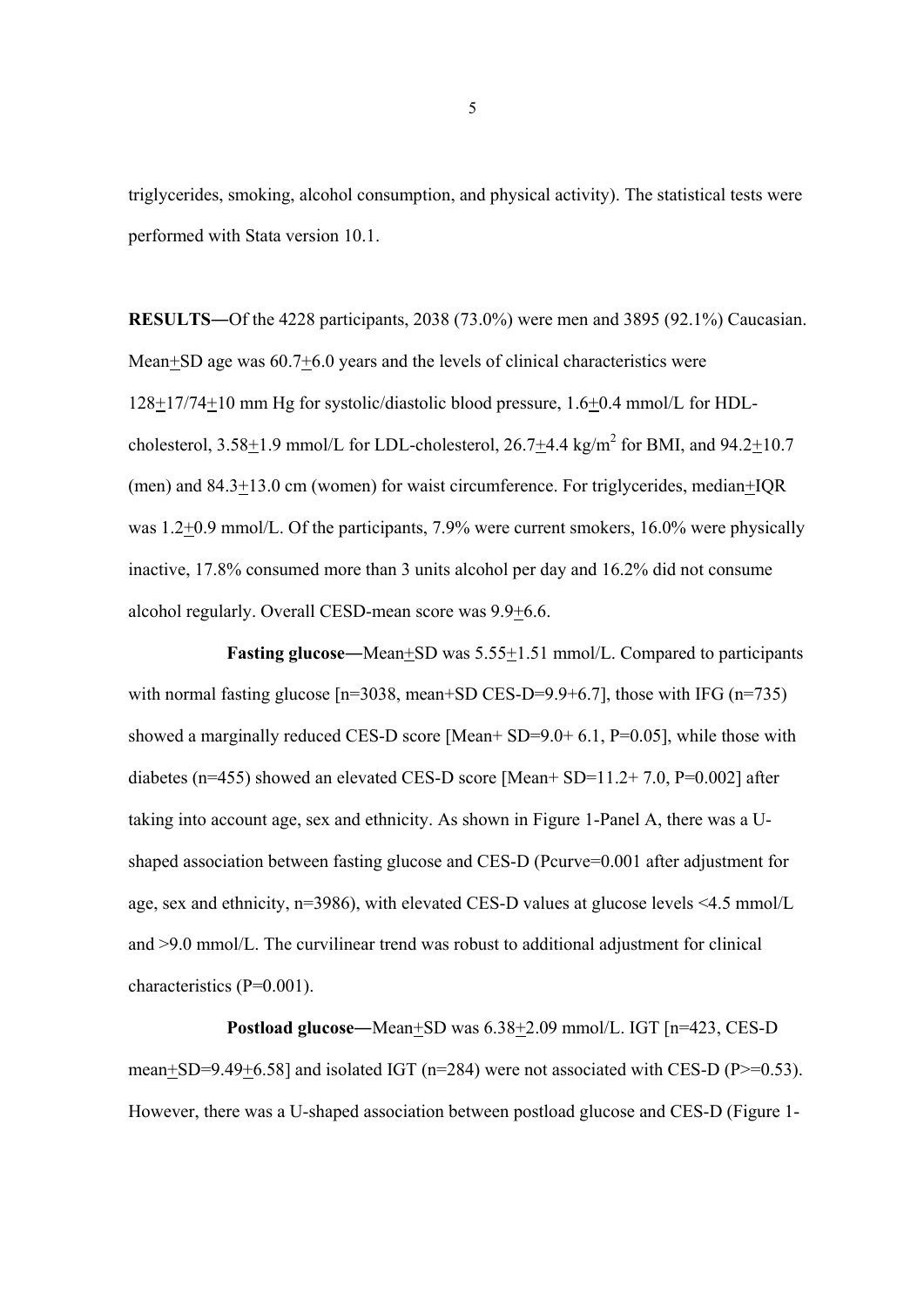triglycerides, smoking, alcohol consumption, and physical activity). The statistical tests were performed with Stata version 10.1.

**RESULTS―**Of the 4228 participants, 2038 (73.0%) were men and 3895 (92.1%) Caucasian. Mean+SD age was 60.7+6.0 years and the levels of clinical characteristics were 128+17/74+10 mm Hg for systolic/diastolic blood pressure, 1.6+0.4 mmol/L for HDLcholesterol,  $3.58 \pm 1.9$  mmol/L for LDL-cholesterol,  $26.7 \pm 4.4$  kg/m<sup>2</sup> for BMI, and  $94.2 \pm 10.7$ (men) and 84.3+13.0 cm (women) for waist circumference. For triglycerides, median+IQR was 1.2+0.9 mmol/L. Of the participants, 7.9% were current smokers, 16.0% were physically inactive, 17.8% consumed more than 3 units alcohol per day and 16.2% did not consume alcohol regularly. Overall CESD-mean score was 9.9+6.6.

**Fasting glucose—Mean+SD** was 5.55+1.51 mmol/L. Compared to participants with normal fasting glucose  $[n=3038, \text{mean} + SD \text{ CES-D} = 9.9 + 6.7]$ , those with IFG  $(n=735)$ showed a marginally reduced CES-D score [Mean+ SD=9.0+ 6.1, P=0.05], while those with diabetes (n=455) showed an elevated CES-D score [Mean+ SD=11.2+ 7.0, P=0.002] after taking into account age, sex and ethnicity. As shown in Figure 1-Panel A, there was a Ushaped association between fasting glucose and CES-D (Pcurve=0.001 after adjustment for age, sex and ethnicity, n=3986), with elevated CES-D values at glucose levels <4.5 mmol/L and >9.0 mmol/L. The curvilinear trend was robust to additional adjustment for clinical characteristics (P=0.001).

**Postload glucose―**Mean+SD was 6.38+2.09 mmol/L. IGT [n=423, CES-D mean $\pm$ SD=9.49 $\pm$ 6.58] and isolated IGT (n=284) were not associated with CES-D (P>=0.53). However, there was a U-shaped association between postload glucose and CES-D (Figure 1-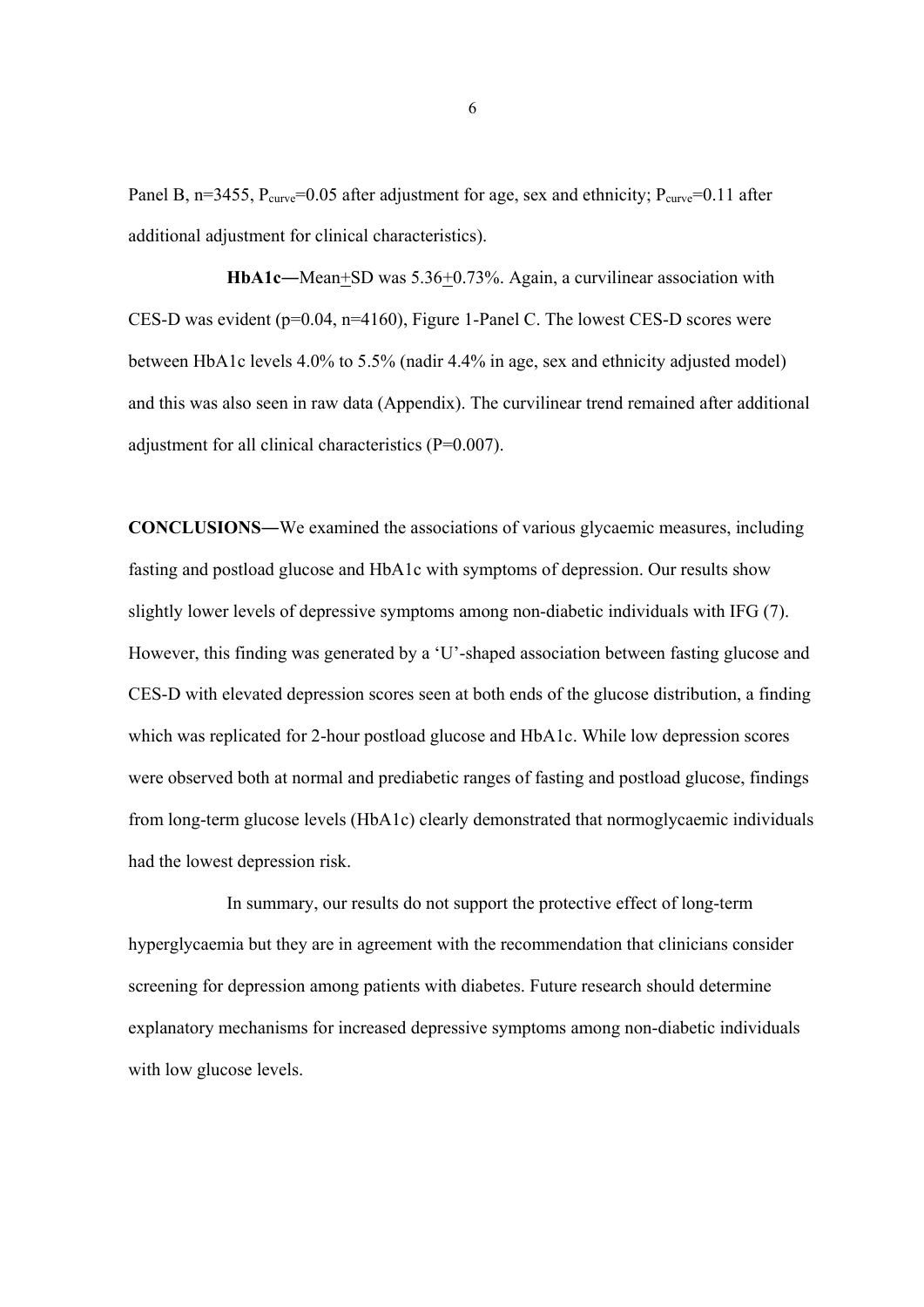Panel B, n=3455,  $P_{curve}$ =0.05 after adjustment for age, sex and ethnicity;  $P_{curve}$ =0.11 after additional adjustment for clinical characteristics).

**HbA1c―**Mean+SD was 5.36+0.73%. Again, a curvilinear association with CES-D was evident (p=0.04, n=4160), Figure 1-Panel C. The lowest CES-D scores were between HbA1c levels 4.0% to 5.5% (nadir 4.4% in age, sex and ethnicity adjusted model) and this was also seen in raw data (Appendix). The curvilinear trend remained after additional adjustment for all clinical characteristics (P=0.007).

**CONCLUSIONS―**We examined the associations of various glycaemic measures, including fasting and postload glucose and HbA1c with symptoms of depression. Our results show slightly lower levels of depressive symptoms among non-diabetic individuals with IFG (7). However, this finding was generated by a 'U'-shaped association between fasting glucose and CES-D with elevated depression scores seen at both ends of the glucose distribution, a finding which was replicated for 2-hour postload glucose and HbA1c. While low depression scores were observed both at normal and prediabetic ranges of fasting and postload glucose, findings from long-term glucose levels (HbA1c) clearly demonstrated that normoglycaemic individuals had the lowest depression risk.

In summary, our results do not support the protective effect of long-term hyperglycaemia but they are in agreement with the recommendation that clinicians consider screening for depression among patients with diabetes. Future research should determine explanatory mechanisms for increased depressive symptoms among non-diabetic individuals with low glucose levels.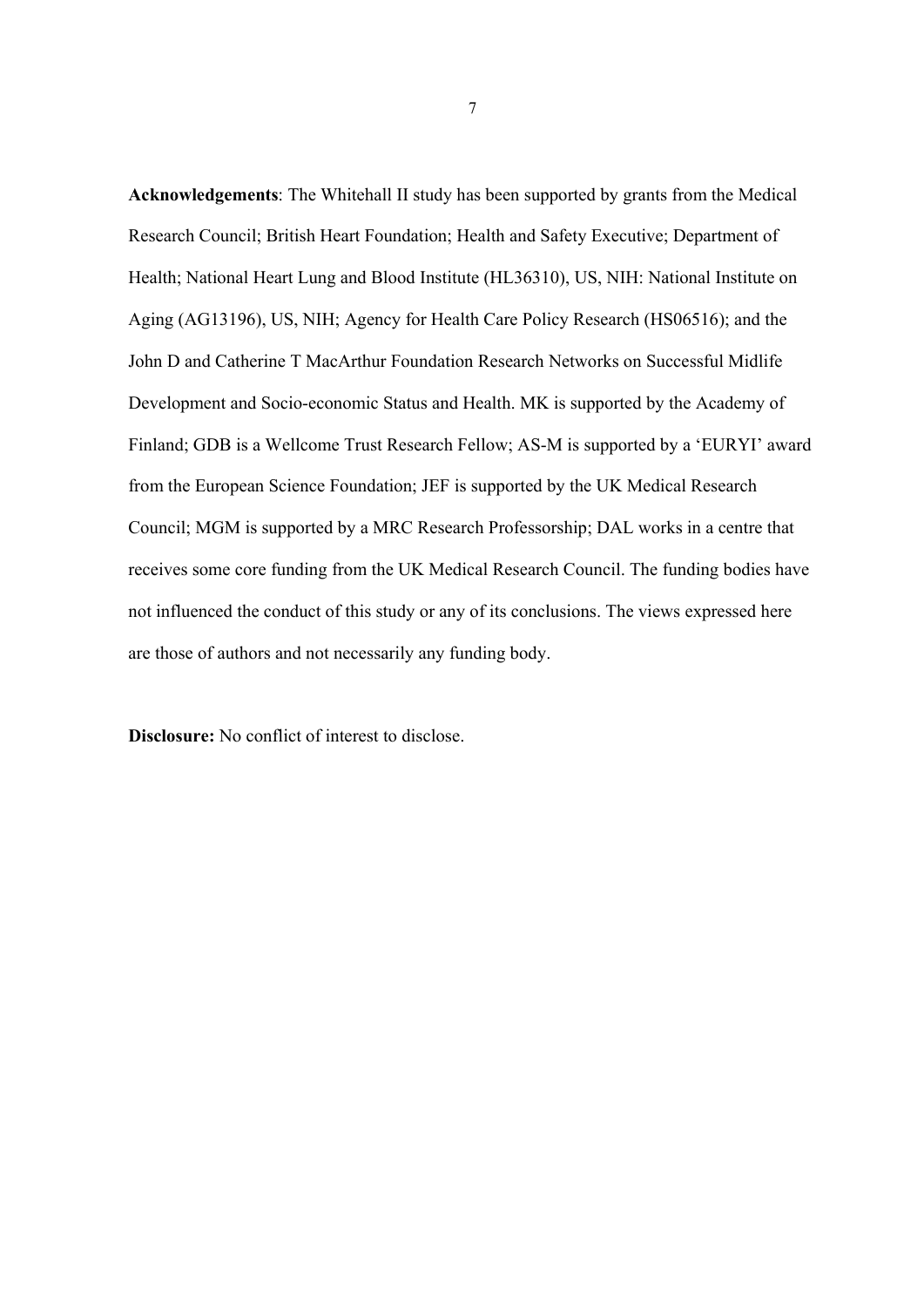**Acknowledgements**: The Whitehall II study has been supported by grants from the Medical Research Council; British Heart Foundation; Health and Safety Executive; Department of Health; National Heart Lung and Blood Institute (HL36310), US, NIH: National Institute on Aging (AG13196), US, NIH; Agency for Health Care Policy Research (HS06516); and the John D and Catherine T MacArthur Foundation Research Networks on Successful Midlife Development and Socio-economic Status and Health. MK is supported by the Academy of Finland; GDB is a Wellcome Trust Research Fellow; AS-M is supported by a 'EURYI' award from the European Science Foundation; JEF is supported by the UK Medical Research Council; MGM is supported by a MRC Research Professorship; DAL works in a centre that receives some core funding from the UK Medical Research Council. The funding bodies have not influenced the conduct of this study or any of its conclusions. The views expressed here are those of authors and not necessarily any funding body.

**Disclosure:** No conflict of interest to disclose.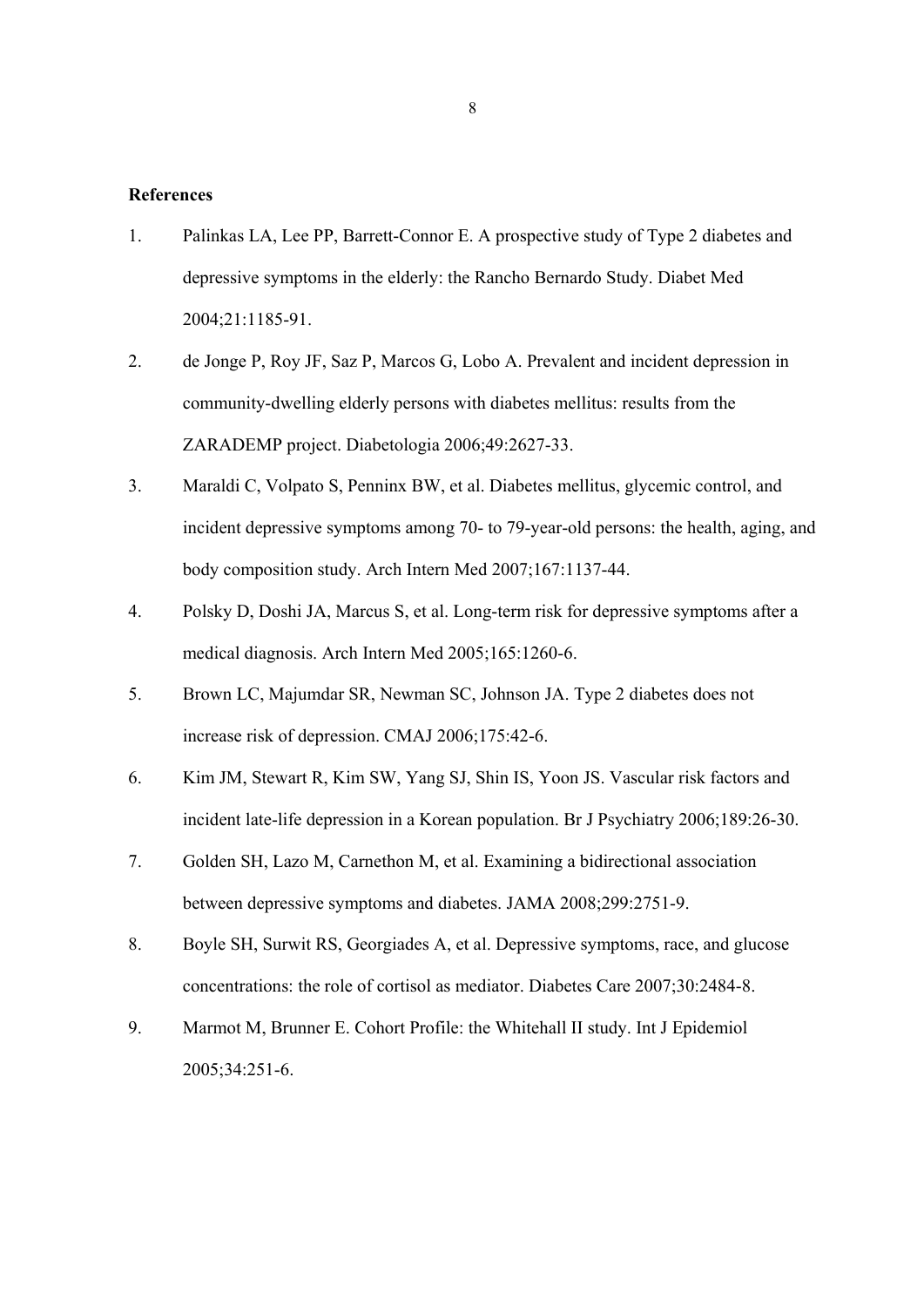## **References**

- 1. Palinkas LA, Lee PP, Barrett-Connor E. A prospective study of Type 2 diabetes and depressive symptoms in the elderly: the Rancho Bernardo Study. Diabet Med 2004;21:1185-91.
- 2. de Jonge P, Roy JF, Saz P, Marcos G, Lobo A. Prevalent and incident depression in community-dwelling elderly persons with diabetes mellitus: results from the ZARADEMP project. Diabetologia 2006;49:2627-33.
- 3. Maraldi C, Volpato S, Penninx BW, et al. Diabetes mellitus, glycemic control, and incident depressive symptoms among 70- to 79-year-old persons: the health, aging, and body composition study. Arch Intern Med 2007;167:1137-44.
- 4. Polsky D, Doshi JA, Marcus S, et al. Long-term risk for depressive symptoms after a medical diagnosis. Arch Intern Med 2005;165:1260-6.
- 5. Brown LC, Majumdar SR, Newman SC, Johnson JA. Type 2 diabetes does not increase risk of depression. CMAJ 2006;175:42-6.
- 6. Kim JM, Stewart R, Kim SW, Yang SJ, Shin IS, Yoon JS. Vascular risk factors and incident late-life depression in a Korean population. Br J Psychiatry 2006;189:26-30.
- 7. Golden SH, Lazo M, Carnethon M, et al. Examining a bidirectional association between depressive symptoms and diabetes. JAMA 2008;299:2751-9.
- 8. Boyle SH, Surwit RS, Georgiades A, et al. Depressive symptoms, race, and glucose concentrations: the role of cortisol as mediator. Diabetes Care 2007;30:2484-8.
- 9. Marmot M, Brunner E. Cohort Profile: the Whitehall II study. Int J Epidemiol 2005;34:251-6.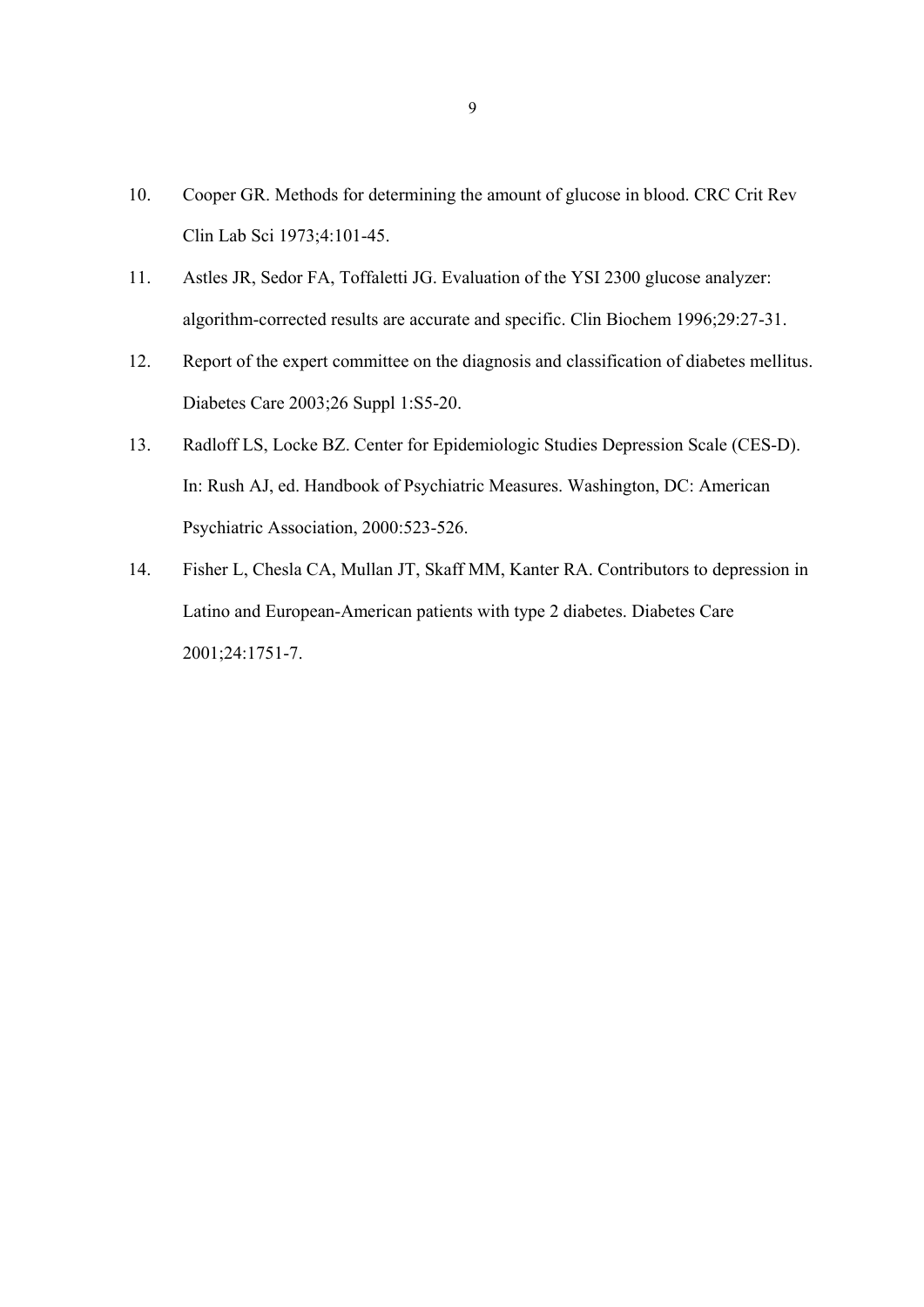- 10. Cooper GR. Methods for determining the amount of glucose in blood. CRC Crit Rev Clin Lab Sci 1973;4:101-45.
- 11. Astles JR, Sedor FA, Toffaletti JG. Evaluation of the YSI 2300 glucose analyzer: algorithm-corrected results are accurate and specific. Clin Biochem 1996;29:27-31.
- 12. Report of the expert committee on the diagnosis and classification of diabetes mellitus. Diabetes Care 2003;26 Suppl 1:S5-20.
- 13. Radloff LS, Locke BZ. Center for Epidemiologic Studies Depression Scale (CES-D). In: Rush AJ, ed. Handbook of Psychiatric Measures. Washington, DC: American Psychiatric Association, 2000:523-526.
- 14. Fisher L, Chesla CA, Mullan JT, Skaff MM, Kanter RA. Contributors to depression in Latino and European-American patients with type 2 diabetes. Diabetes Care 2001;24:1751-7.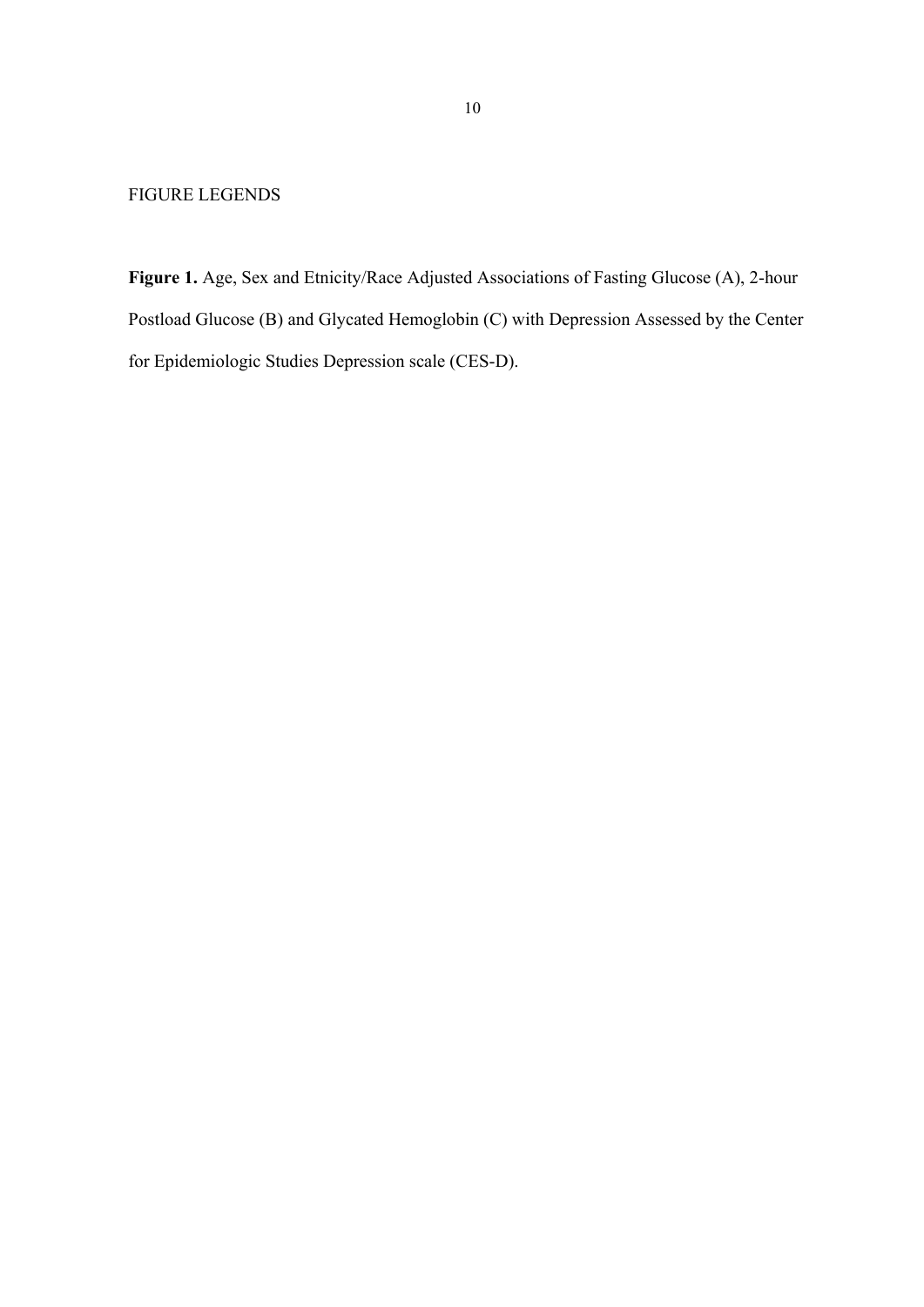FIGURE LEGENDS

**Figure 1.** Age, Sex and Etnicity/Race Adjusted Associations of Fasting Glucose (A), 2-hour Postload Glucose (B) and Glycated Hemoglobin (C) with Depression Assessed by the Center for Epidemiologic Studies Depression scale (CES-D).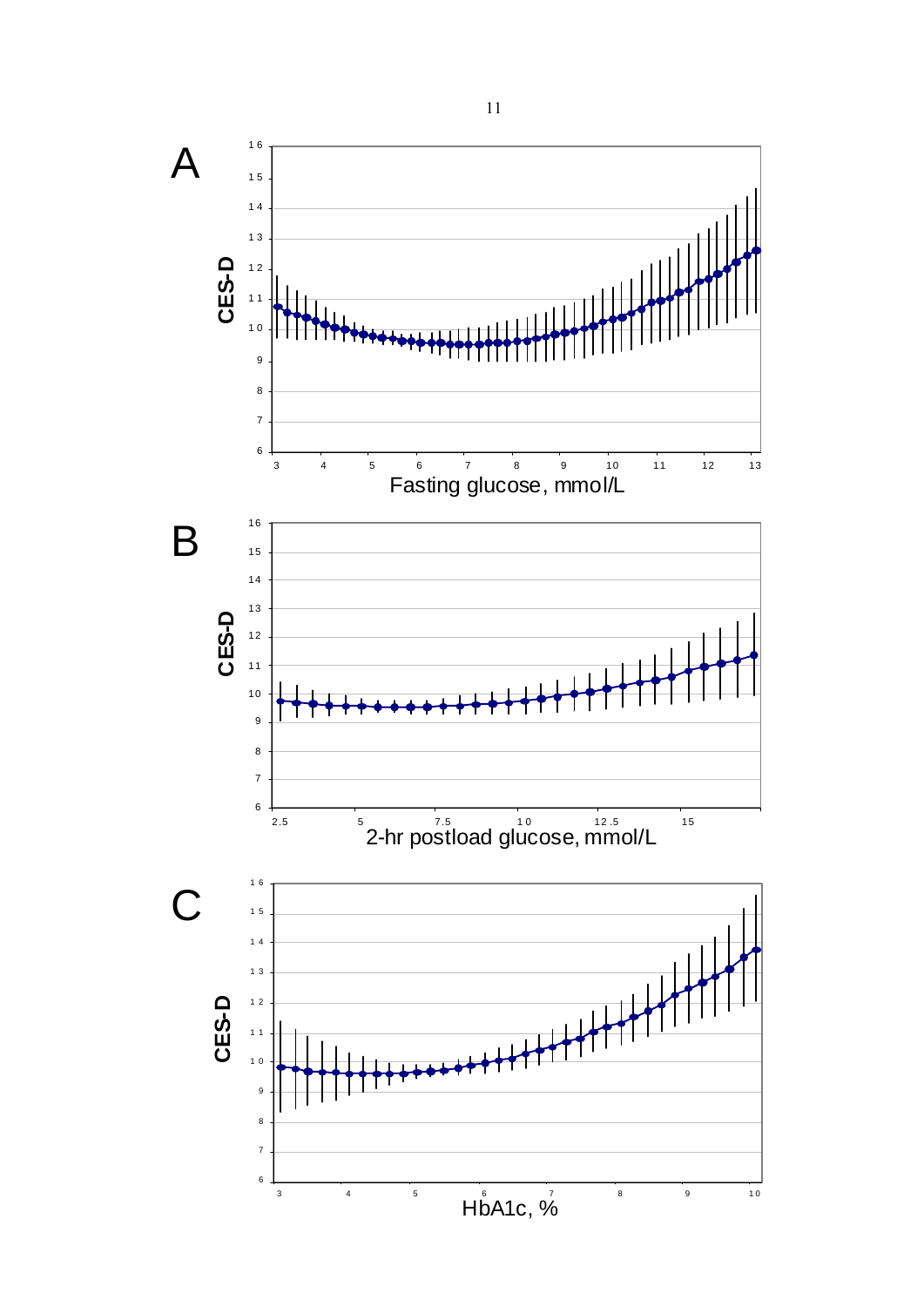